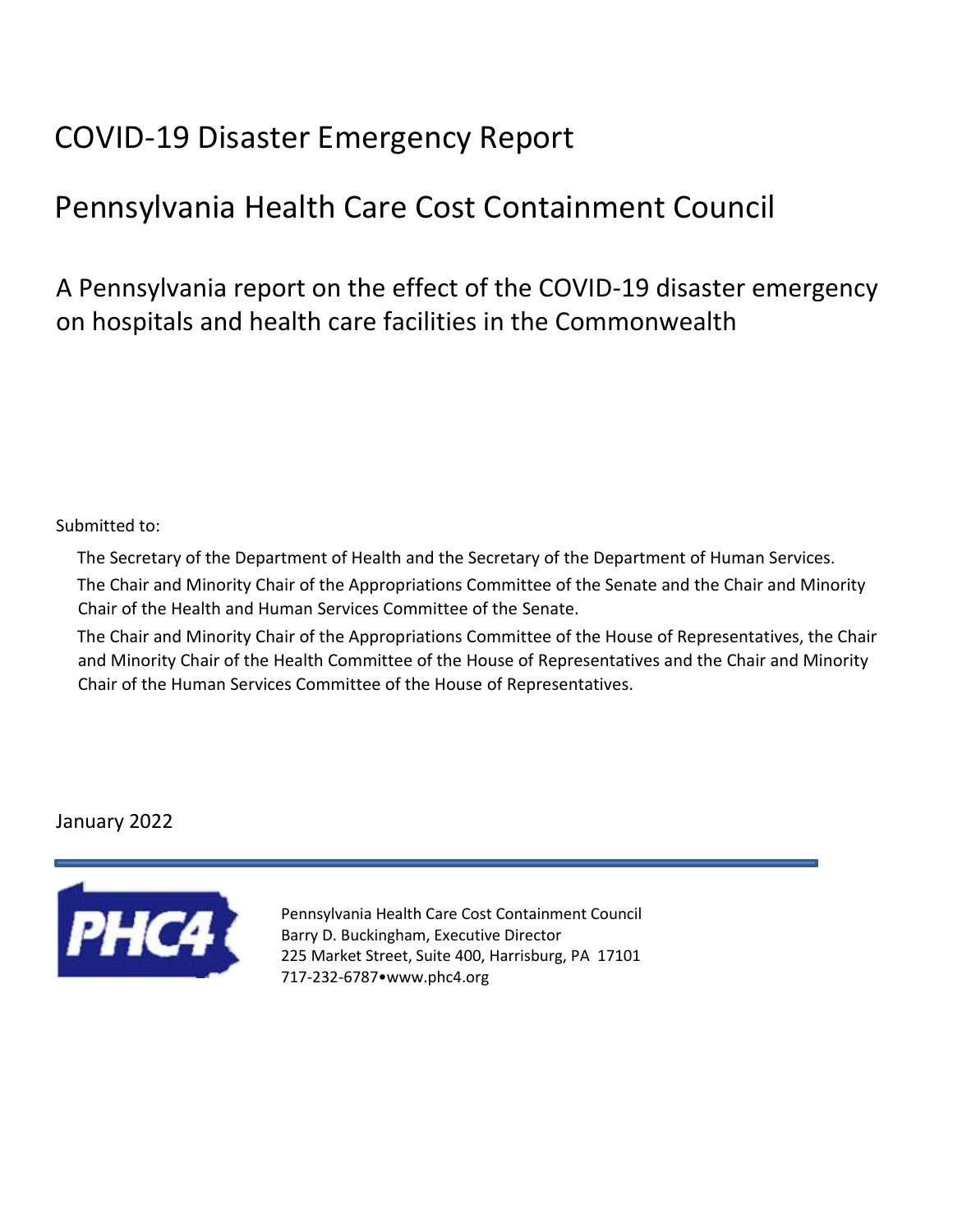# COVID-19 Disaster Emergency Report

# Pennsylvania Health Care Cost Containment Council

A Pennsylvania report on the effect of the COVID-19 disaster emergency on hospitals and health care facilities in the Commonwealth

#### Submitted to:

The Secretary of the Department of Health and the Secretary of the Department of Human Services. The Chair and Minority Chair of the Appropriations Committee of the Senate and the Chair and Minority Chair of the Health and Human Services Committee of the Senate.

The Chair and Minority Chair of the Appropriations Committee of the House of Representatives, the Chair and Minority Chair of the Health Committee of the House of Representatives and the Chair and Minority Chair of the Human Services Committee of the House of Representatives.

### January 2022



Pennsylvania Health Care Cost Containment Council Barry D. Buckingham, Executive Director 225 Market Street, Suite 400, Harrisburg, PA 17101 717-232-6787•www.phc4.org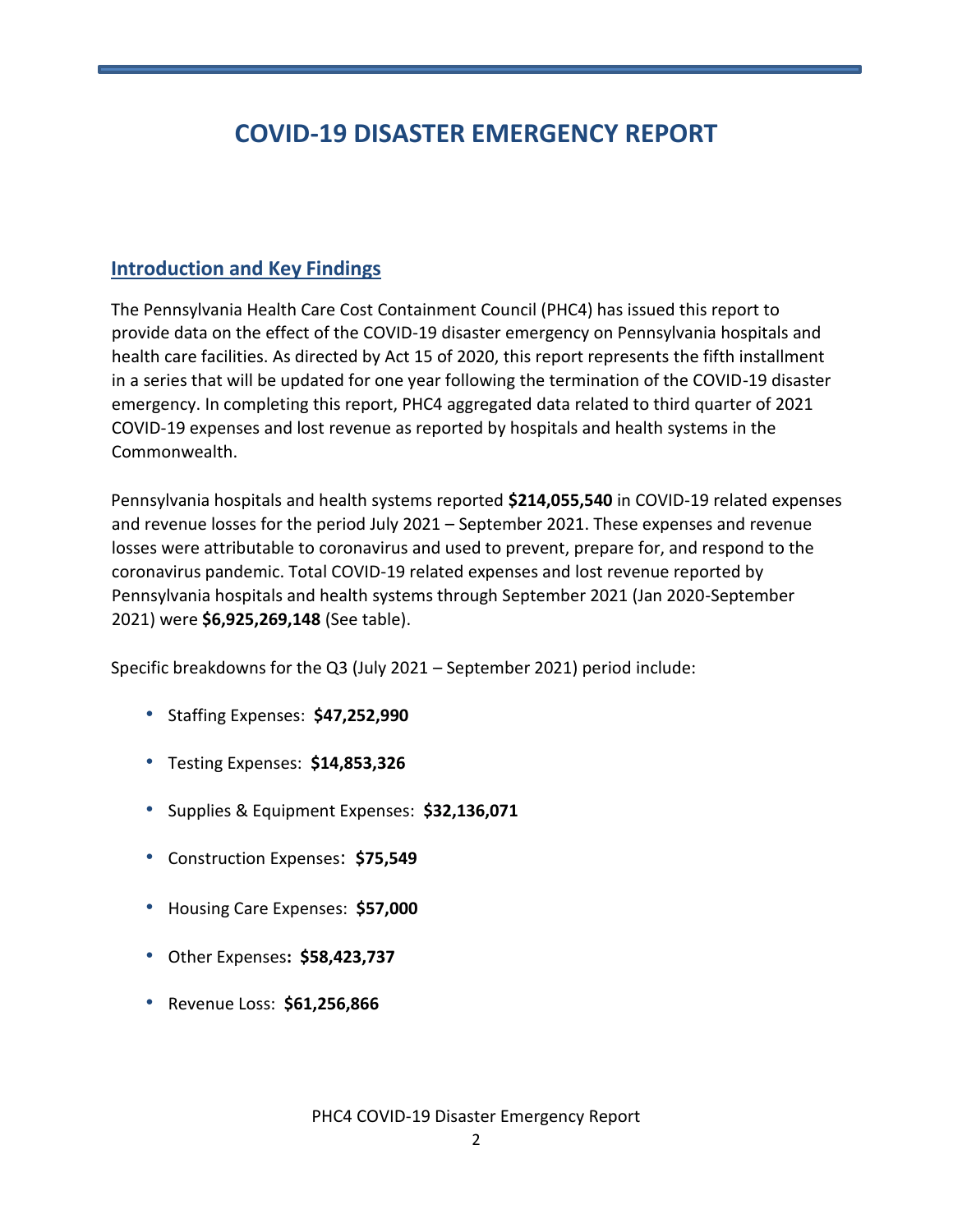# **COVID-19 DISASTER EMERGENCY REPORT**

## **Introduction and Key Findings**

The Pennsylvania Health Care Cost Containment Council (PHC4) has issued this report to provide data on the effect of the COVID-19 disaster emergency on Pennsylvania hospitals and health care facilities. As directed by Act 15 of 2020, this report represents the fifth installment in a series that will be updated for one year following the termination of the COVID-19 disaster emergency. In completing this report, PHC4 aggregated data related to third quarter of 2021 COVID-19 expenses and lost revenue as reported by hospitals and health systems in the Commonwealth.

Pennsylvania hospitals and health systems reported **\$214,055,540** in COVID-19 related expenses and revenue losses for the period July 2021 – September 2021. These expenses and revenue losses were attributable to coronavirus and used to prevent, prepare for, and respond to the coronavirus pandemic. Total COVID-19 related expenses and lost revenue reported by Pennsylvania hospitals and health systems through September 2021 (Jan 2020-September 2021) were **\$6,925,269,148** (See table).

Specific breakdowns for the Q3 (July 2021 – September 2021) period include:

- Staffing Expenses: **\$47,252,990**
- Testing Expenses: **\$14,853,326**
- Supplies & Equipment Expenses: **\$32,136,071**
- Construction Expenses: **\$75,549**
- Housing Care Expenses: **\$57,000**
- Other Expenses**: \$58,423,737**
- Revenue Loss: **\$61,256,866**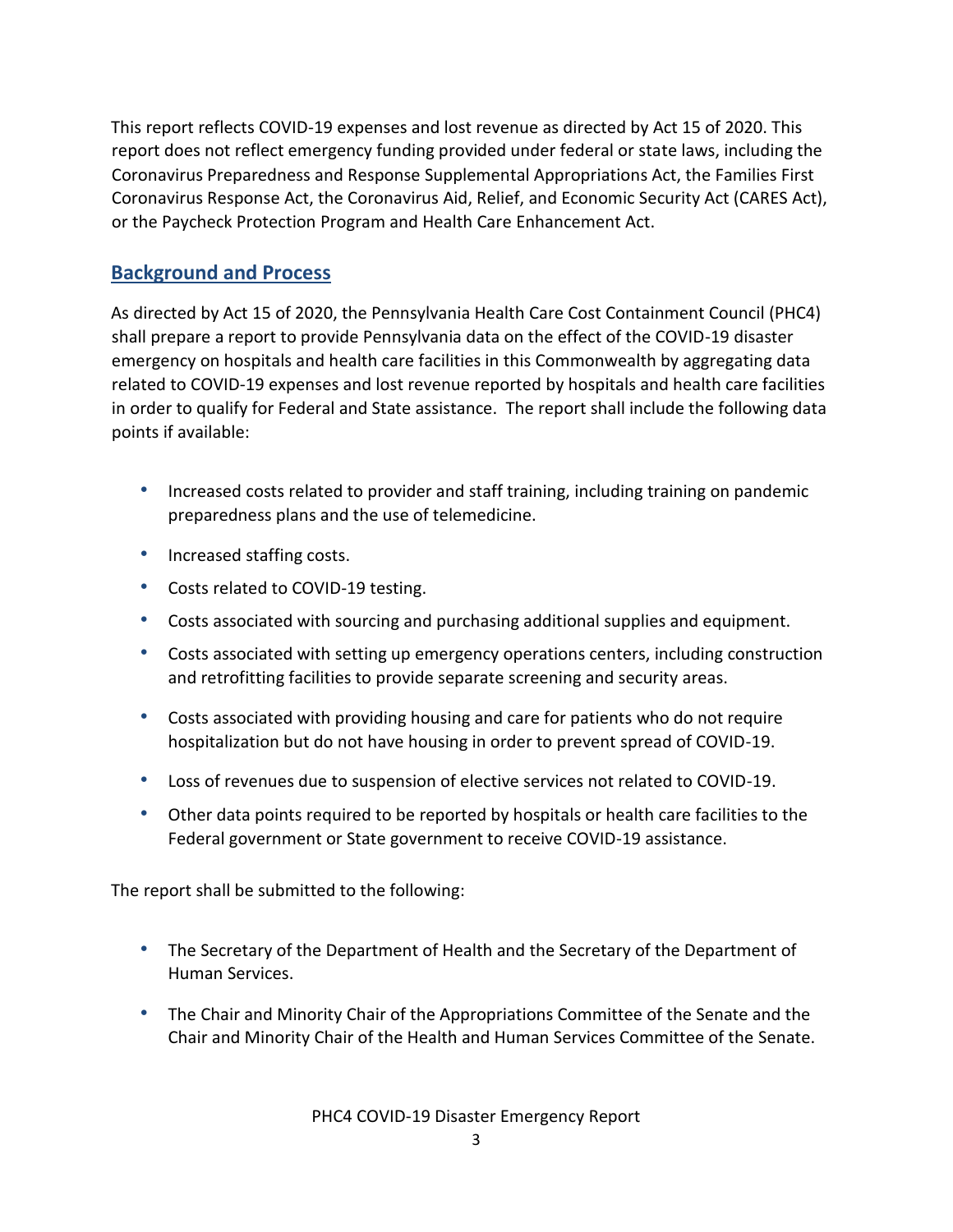This report reflects COVID-19 expenses and lost revenue as directed by Act 15 of 2020. This report does not reflect emergency funding provided under federal or state laws, including the Coronavirus Preparedness and Response Supplemental Appropriations Act, the Families First Coronavirus Response Act, the Coronavirus Aid, Relief, and Economic Security Act (CARES Act), or the Paycheck Protection Program and Health Care Enhancement Act.

#### **Background and Process**

As directed by Act 15 of 2020, the Pennsylvania Health Care Cost Containment Council (PHC4) shall prepare a report to provide Pennsylvania data on the effect of the COVID-19 disaster emergency on hospitals and health care facilities in this Commonwealth by aggregating data related to COVID-19 expenses and lost revenue reported by hospitals and health care facilities in order to qualify for Federal and State assistance. The report shall include the following data points if available:

- Increased costs related to provider and staff training, including training on pandemic preparedness plans and the use of telemedicine.
- Increased staffing costs.
- Costs related to COVID-19 testing.
- Costs associated with sourcing and purchasing additional supplies and equipment.
- Costs associated with setting up emergency operations centers, including construction and retrofitting facilities to provide separate screening and security areas.
- Costs associated with providing housing and care for patients who do not require hospitalization but do not have housing in order to prevent spread of COVID-19.
- Loss of revenues due to suspension of elective services not related to COVID-19.
- Other data points required to be reported by hospitals or health care facilities to the Federal government or State government to receive COVID-19 assistance.

The report shall be submitted to the following:

- The Secretary of the Department of Health and the Secretary of the Department of Human Services.
- The Chair and Minority Chair of the Appropriations Committee of the Senate and the Chair and Minority Chair of the Health and Human Services Committee of the Senate.

PHC4 COVID-19 Disaster Emergency Report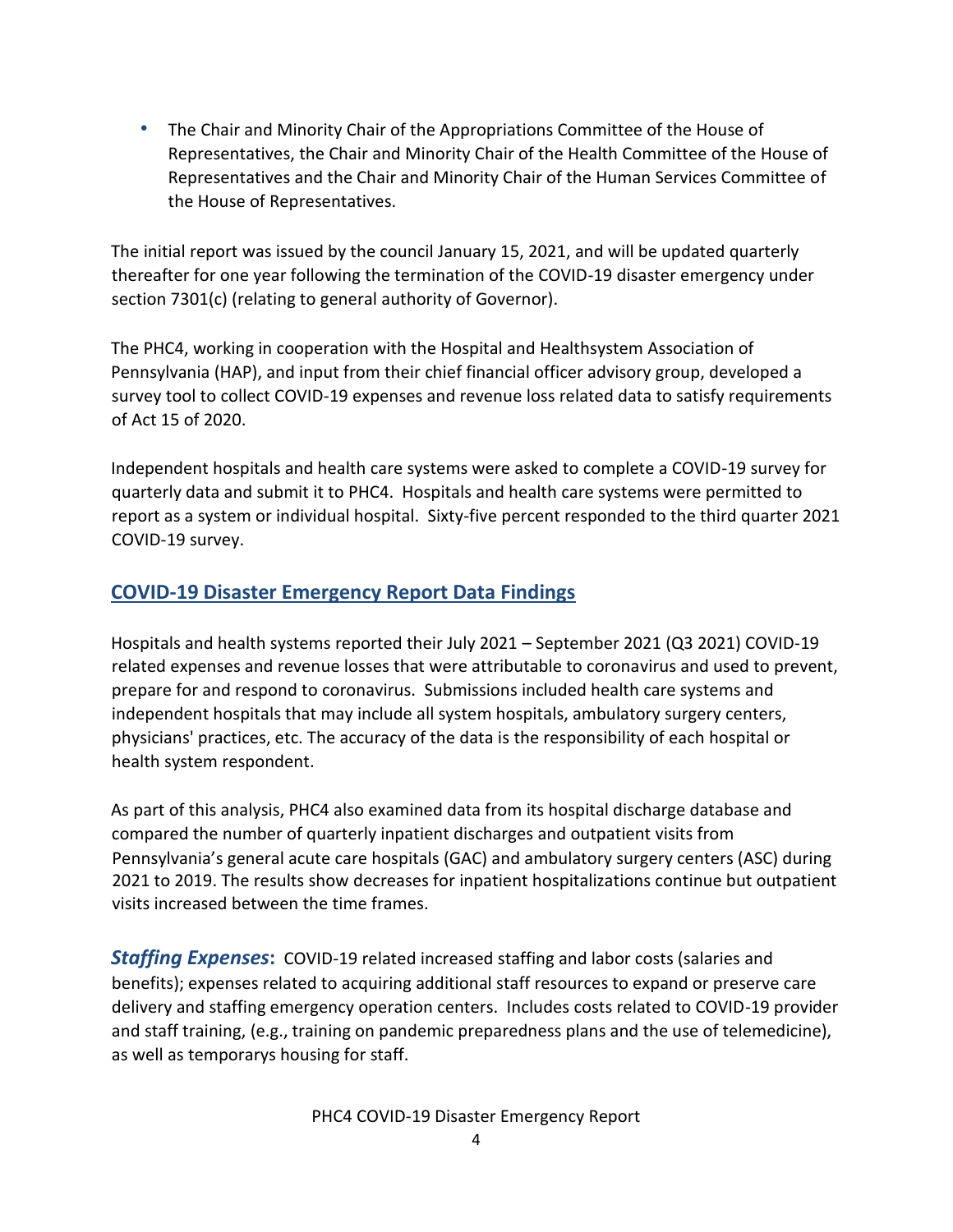• The Chair and Minority Chair of the Appropriations Committee of the House of Representatives, the Chair and Minority Chair of the Health Committee of the House of Representatives and the Chair and Minority Chair of the Human Services Committee of the House of Representatives.

The initial report was issued by the council January 15, 2021, and will be updated quarterly thereafter for one year following the termination of the COVID-19 disaster emergency under section 7301(c) (relating to general authority of Governor).

The PHC4, working in cooperation with the Hospital and Healthsystem Association of Pennsylvania (HAP), and input from their chief financial officer advisory group, developed a survey tool to collect COVID-19 expenses and revenue loss related data to satisfy requirements of Act 15 of 2020.

Independent hospitals and health care systems were asked to complete a COVID-19 survey for quarterly data and submit it to PHC4. Hospitals and health care systems were permitted to report as a system or individual hospital. Sixty-five percent responded to the third quarter 2021 COVID-19 survey.

# **COVID-19 Disaster Emergency Report Data Findings**

Hospitals and health systems reported their July 2021 – September 2021 (Q3 2021) COVID-19 related expenses and revenue losses that were attributable to coronavirus and used to prevent, prepare for and respond to coronavirus. Submissions included health care systems and independent hospitals that may include all system hospitals, ambulatory surgery centers, physicians' practices, etc. The accuracy of the data is the responsibility of each hospital or health system respondent.

As part of this analysis, PHC4 also examined data from its hospital discharge database and compared the number of quarterly inpatient discharges and outpatient visits from Pennsylvania's general acute care hospitals (GAC) and ambulatory surgery centers (ASC) during 2021 to 2019. The results show decreases for inpatient hospitalizations continue but outpatient visits increased between the time frames.

*Staffing Expenses***:** COVID-19 related increased staffing and labor costs (salaries and benefits); expenses related to acquiring additional staff resources to expand or preserve care delivery and staffing emergency operation centers. Includes costs related to COVID-19 provider and staff training, (e.g., training on pandemic preparedness plans and the use of telemedicine), as well as temporarys housing for staff.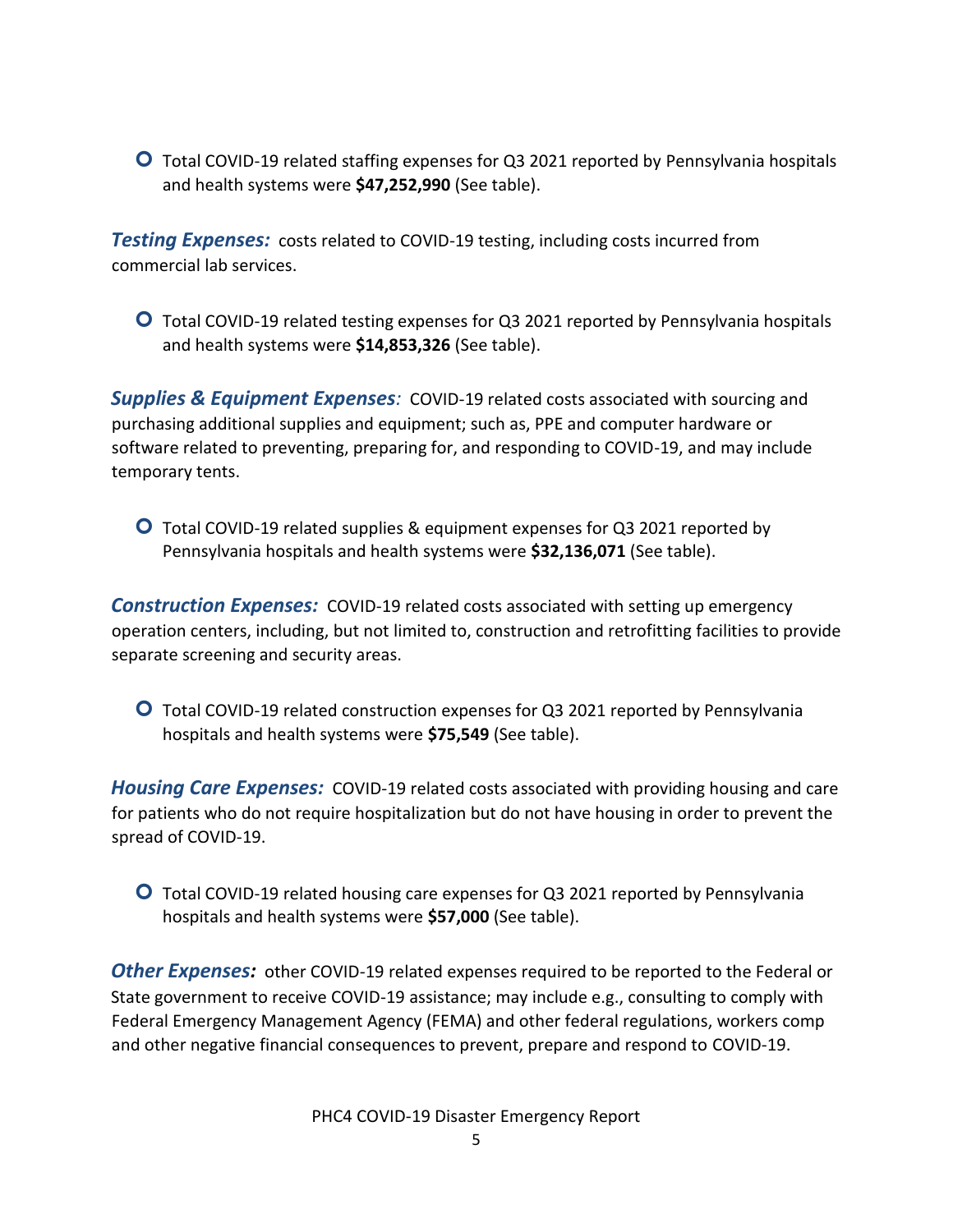Total COVID-19 related staffing expenses for Q3 2021 reported by Pennsylvania hospitals and health systems were **\$47,252,990** (See table).

**Testing Expenses:** costs related to COVID-19 testing, including costs incurred from commercial lab services.

 Total COVID-19 related testing expenses for Q3 2021 reported by Pennsylvania hospitals and health systems were **\$14,853,326** (See table).

*Supplies & Equipment Expenses:* COVID-19 related costs associated with sourcing and purchasing additional supplies and equipment; such as, PPE and computer hardware or software related to preventing, preparing for, and responding to COVID-19, and may include temporary tents.

 Total COVID-19 related supplies & equipment expenses for Q3 2021 reported by Pennsylvania hospitals and health systems were **\$32,136,071** (See table).

**Construction Expenses:** COVID-19 related costs associated with setting up emergency operation centers, including, but not limited to, construction and retrofitting facilities to provide separate screening and security areas.

 Total COVID-19 related construction expenses for Q3 2021 reported by Pennsylvania hospitals and health systems were **\$75,549** (See table).

*Housing Care Expenses:*COVID-19 related costs associated with providing housing and care for patients who do not require hospitalization but do not have housing in order to prevent the spread of COVID-19.

 Total COVID-19 related housing care expenses for Q3 2021 reported by Pennsylvania hospitals and health systems were **\$57,000** (See table).

*Other Expenses:*other COVID-19 related expenses required to be reported to the Federal or State government to receive COVID-19 assistance; may include e.g., consulting to comply with Federal Emergency Management Agency (FEMA) and other federal regulations, workers comp and other negative financial consequences to prevent, prepare and respond to COVID-19.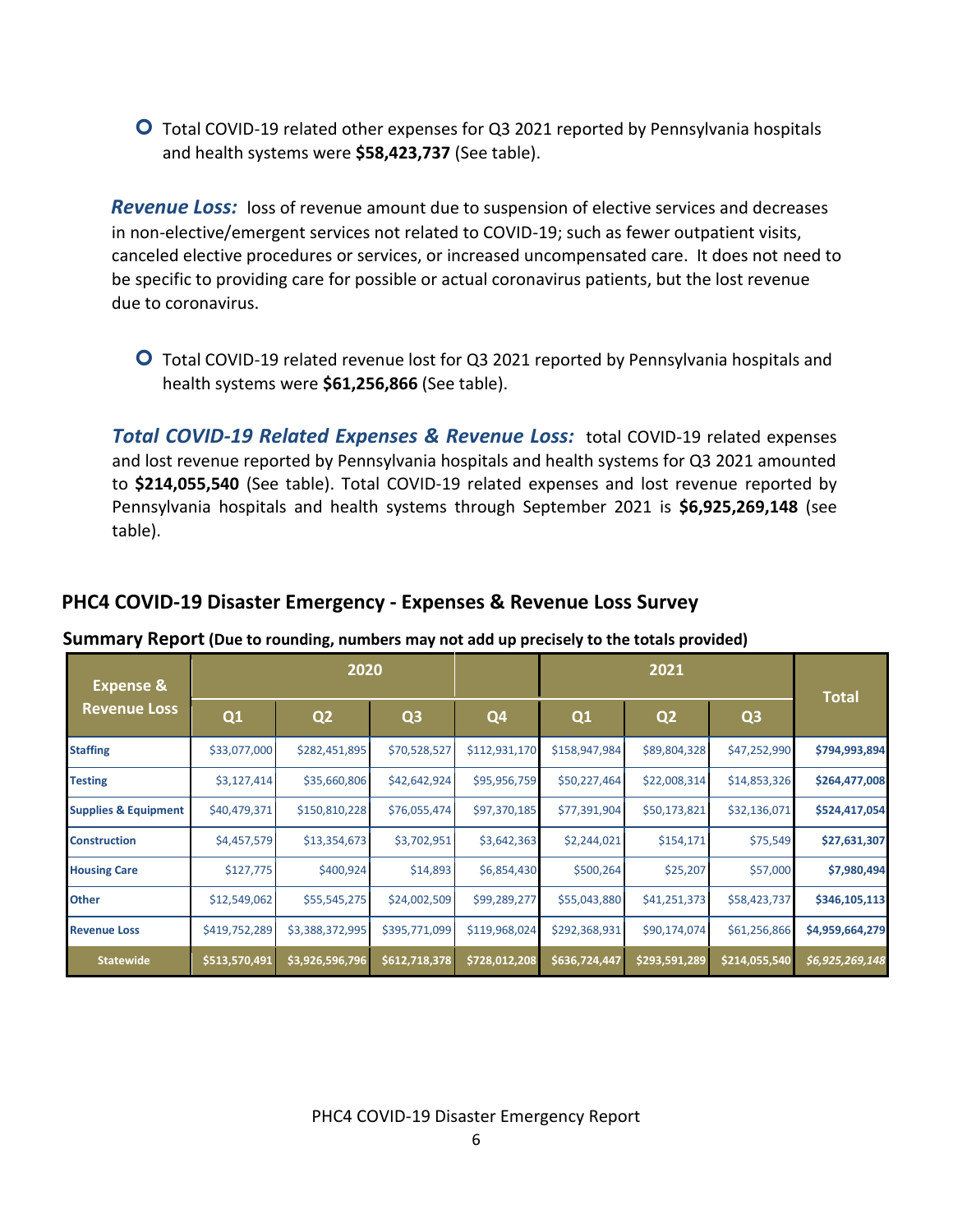Total COVID-19 related other expenses for Q3 2021 reported by Pennsylvania hospitals and health systems were **\$58,423,737** (See table).

**Revenue Loss:** loss of revenue amount due to suspension of elective services and decreases in non-elective/emergent services not related to COVID-19; such as fewer outpatient visits, canceled elective procedures or services, or increased uncompensated care. It does not need to be specific to providing care for possible or actual coronavirus patients, but the lost revenue due to coronavirus.

 Total COVID-19 related revenue lost for Q3 2021 reported by Pennsylvania hospitals and health systems were **\$61,256,866** (See table).

*Total COVID-19 Related Expenses & Revenue Loss:*total COVID-19 related expenses and lost revenue reported by Pennsylvania hospitals and health systems for Q3 2021 amounted to **\$214,055,540** (See table). Total COVID-19 related expenses and lost revenue reported by Pennsylvania hospitals and health systems through September 2021 is **\$6,925,269,148** (see table).

|                                             |               | ັ               |                | . .           |               |                |                |                 |
|---------------------------------------------|---------------|-----------------|----------------|---------------|---------------|----------------|----------------|-----------------|
| <b>Expense &amp;</b><br><b>Revenue Loss</b> |               | 2020            |                |               |               |                |                |                 |
|                                             | Q1            | Q <sub>2</sub>  | Q <sub>3</sub> | Q4            | Q1            | Q <sub>2</sub> | Q <sub>3</sub> | <b>Total</b>    |
| <b>Staffing</b>                             | \$33,077,000  | \$282,451,895   | \$70,528,527   | \$112,931,170 | \$158,947,984 | \$89,804,328   | \$47,252,990   | \$794,993,894   |
| <b>Testing</b>                              | \$3,127,414   | \$35,660,806    | \$42,642,924   | \$95,956,759  | \$50,227,464  | \$22,008,314   | \$14,853,326   | \$264,477,008   |
| <b>Supplies &amp; Equipment</b>             | \$40,479,371  | \$150,810,228   | \$76,055,474   | \$97,370,185  | \$77,391,904  | \$50,173,821   | \$32,136,071   | \$524,417,054   |
| <b>Construction</b>                         | \$4,457,579   | \$13,354,673    | \$3,702,951    | \$3,642,363   | \$2,244,021   | \$154,171      | \$75,549       | \$27,631,307    |
| <b>Housing Care</b>                         | \$127,775     | \$400,924       | \$14,893       | \$6,854,430   | \$500,264     | \$25,207       | \$57,000       | \$7,980,494     |
| Other                                       | \$12,549,062  | \$55,545,275    | \$24,002,509   | \$99,289,277  | \$55,043,880  | \$41,251,373   | \$58,423,737   | \$346,105,113   |
| <b>Revenue Loss</b>                         | \$419,752,289 | \$3,388,372,995 | \$395,771,099  | \$119,968,024 | \$292,368,931 | \$90,174,074   | \$61,256,866   | \$4,959,664,279 |
| <b>Statewide</b>                            | \$513,570,491 | \$3,926,596,796 | \$612,718,378  | \$728,012,208 | \$636,724,447 | \$293,591,289  | \$214,055,540  | \$6,925,269,148 |

### **PHC4 COVID-19 Disaster Emergency - Expenses & Revenue Loss Survey**

#### **Summary Report (Due to rounding, numbers may not add up precisely to the totals provided)**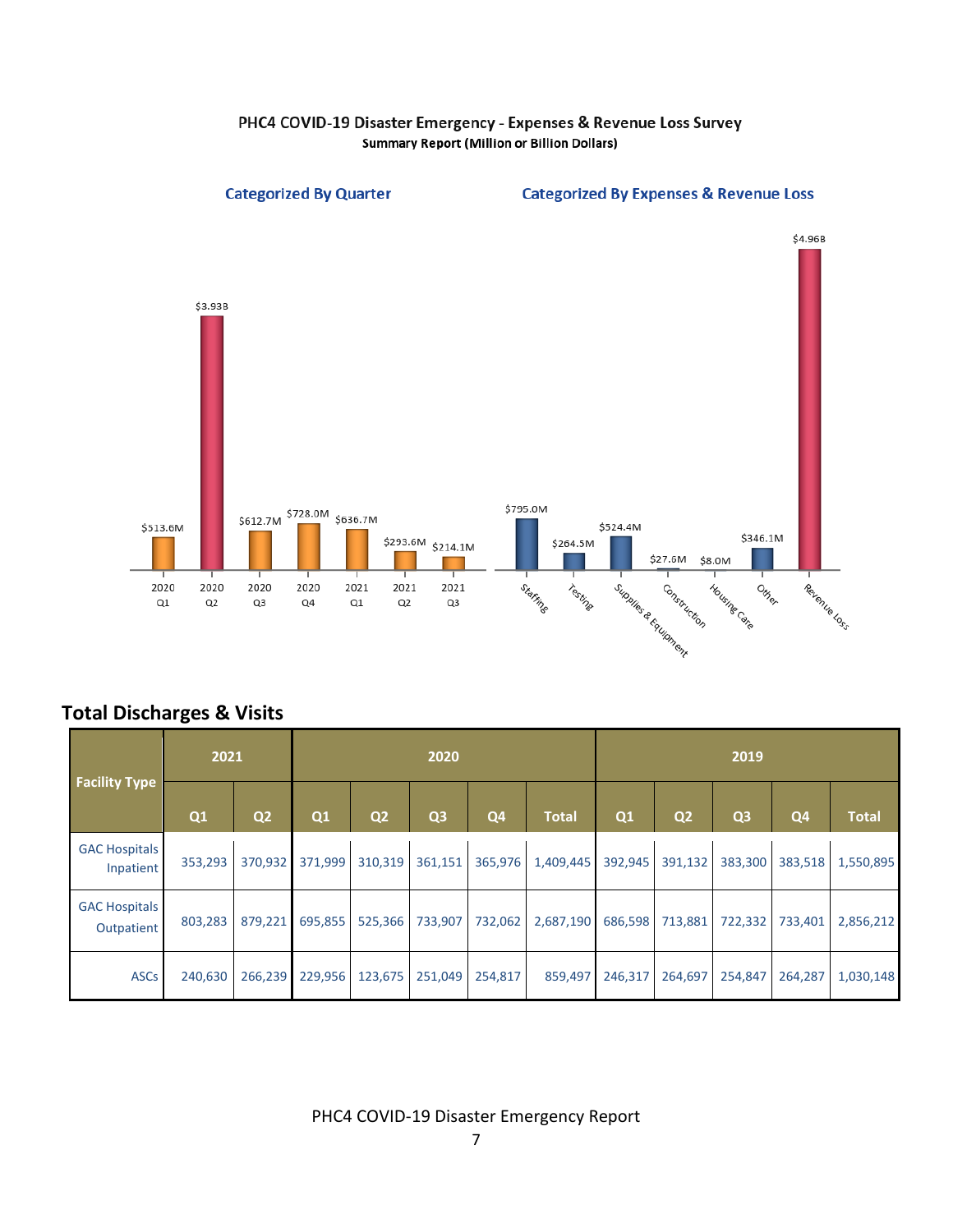

**Categorized By Quarter** 



#### **Categorized By Expenses & Revenue Loss**

## **Total Discharges & Visits**

| <b>Facility Type</b>               | 2021    |                | 2020    |                |                |                |              | 2019    |                |                |                |              |
|------------------------------------|---------|----------------|---------|----------------|----------------|----------------|--------------|---------|----------------|----------------|----------------|--------------|
|                                    | Q1      | Q <sub>2</sub> | Q1      | Q <sub>2</sub> | Q <sub>3</sub> | Q <sub>4</sub> | <b>Total</b> | Q1      | Q <sub>2</sub> | Q <sub>3</sub> | Q <sub>4</sub> | <b>Total</b> |
| <b>GAC Hospitals</b><br>Inpatient  | 353,293 | 370,932        | 371,999 | 310,319        | 361,151        | 365,976        | 1,409,445    | 392,945 | 391,132        | 383,300        | 383,518        | 1,550,895    |
| <b>GAC Hospitals</b><br>Outpatient | 803,283 | 879,221        | 695,855 | 525,366        | 733,907        | 732,062        | 2,687,190    | 686,598 | 713,881        | 722,332        | 733,401        | 2,856,212    |
| <b>ASCs</b>                        | 240,630 | 266,239        | 229,956 | 123,675        | 251,049        | 254,817        | 859,497      | 246,317 | 264,697        | 254,847        | 264,287        | 1,030,148    |

PHC4 COVID-19 Disaster Emergency Report